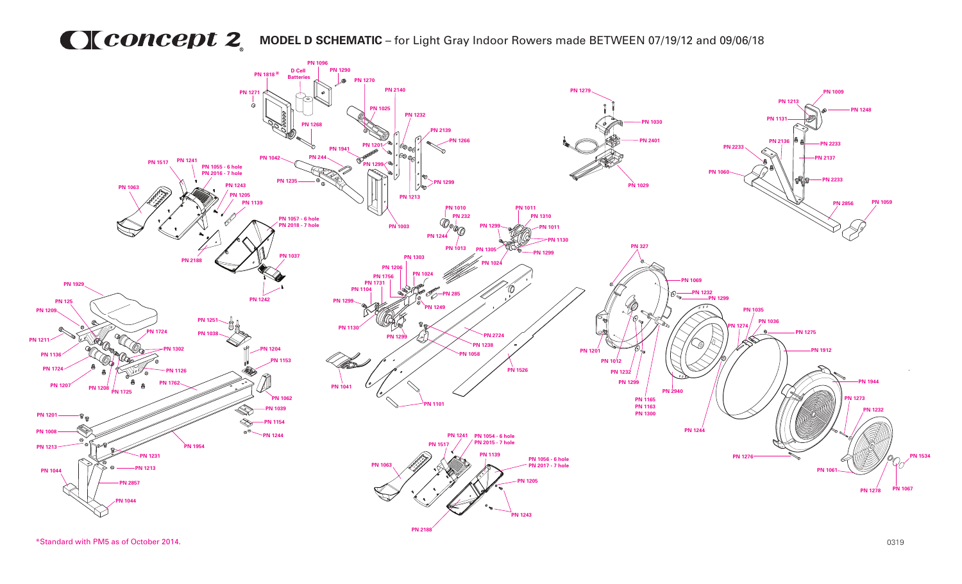## **MODEL D SCHEMATIC** – for Light Gray Indoor Rowers made BETWEEN 07/19/12 and 09/06/18



\*Standard with PM5 as of October 2014. 0319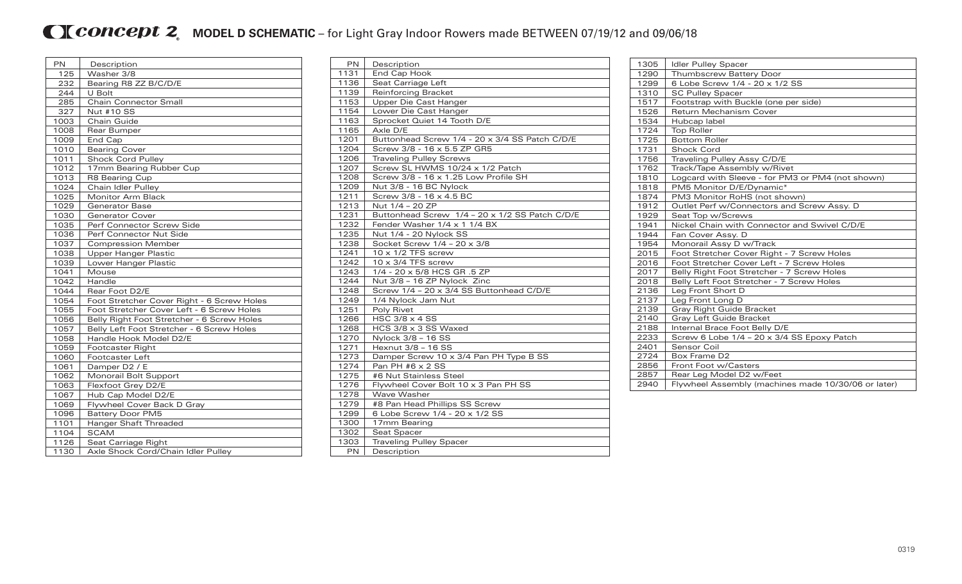## **MCONCEDU2** MODEL D SCHEMATIC – for Light Gray Indoor Rowers made BETWEEN 07/19/12 and 09/06/18

| PN   | Description                                |
|------|--------------------------------------------|
| 125  | Washer 3/8                                 |
| 232  | Bearing R8 ZZ B/C/D/E                      |
| 244  | U Bolt                                     |
| 285  | <b>Chain Connector Small</b>               |
| 327  | Nut #10 SS                                 |
| 1003 | Chain Guide                                |
| 1008 | Rear Bumper                                |
| 1009 | End Cap                                    |
| 1010 | <b>Bearing Cover</b>                       |
| 1011 | <b>Shock Cord Pulley</b>                   |
| 1012 | 17mm Bearing Rubber Cup                    |
| 1013 | R8 Bearing Cup                             |
| 1024 | Chain Idler Pulley                         |
| 1025 | Monitor Arm Black                          |
| 1029 | <b>Generator Base</b>                      |
| 1030 | <b>Generator Cover</b>                     |
| 1035 | Perf Connector Screw Side                  |
| 1036 | Perf Connector Nut Side                    |
| 1037 | <b>Compression Member</b>                  |
| 1038 | <b>Upper Hanger Plastic</b>                |
| 1039 | Lower Hanger Plastic                       |
| 1041 | Mouse                                      |
| 1042 | Handle                                     |
| 1044 | Rear Foot D2/E                             |
| 1054 | Foot Stretcher Cover Right - 6 Screw Holes |
| 1055 | Foot Stretcher Cover Left - 6 Screw Holes  |
| 1056 | Belly Right Foot Stretcher - 6 Screw Holes |
| 1057 | Belly Left Foot Stretcher - 6 Screw Holes  |
| 1058 | Handle Hook Model D2/E                     |
| 1059 | Footcaster Right                           |
| 1060 | <b>Footcaster Left</b>                     |
| 1061 | Damper D2 / E                              |
| 1062 | Monorail Bolt Support                      |
| 1063 | Flexfoot Grey D2/E                         |
| 1067 | Hub Cap Model D2/E                         |
| 1069 | Flywheel Cover Back D Gray                 |
| 1096 | <b>Battery Door PM5</b>                    |
| 1101 | Hanger Shaft Threaded                      |
| 1104 | <b>SCAM</b>                                |
| 1126 | Seat Carriage Right                        |
| 1130 | Axle Shock Cord/Chain Idler Pulley         |

| <b>PN</b> | Description                                    |
|-----------|------------------------------------------------|
| 1131      | End Cap Hook                                   |
| 1136      | Seat Carriage Left                             |
| 1139      | <b>Reinforcing Bracket</b>                     |
| 1153      | Upper Die Cast Hanger                          |
| 1154      | Lower Die Cast Hanger                          |
| 1163      | Sprocket Quiet 14 Tooth D/E                    |
| 1165      | Axle D/E                                       |
| 1201      | Buttonhead Screw 1/4 - 20 x 3/4 SS Patch C/D/E |
| 1204      | Screw 3/8 - 16 x 5.5 ZP GR5                    |
| 1206      | <b>Traveling Pulley Screws</b>                 |
| 1207      | Screw SL HWMS 10/24 x 1/2 Patch                |
| 1208      | Screw 3/8 - 16 x 1.25 Low Profile SH           |
| 1209      | Nut 3/8 - 16 BC Nylock                         |
| 1211      | Screw 3/8 - 16 x 4.5 BC                        |
| 1213      | Nut 1/4 - 20 ZP                                |
| 1231      | Buttonhead Screw 1/4 - 20 x 1/2 SS Patch C/D/E |
| 1232      | Fender Washer 1/4 x 1 1/4 BX                   |
| 1235      | Nut 1/4 - 20 Nylock SS                         |
| 1238      | Socket Screw 1/4 - 20 x 3/8                    |
| 1241      | $10 \times 1/2$ TFS screw                      |
| 1242      | $10 \times 3/4$ TFS screw                      |
| 1243      | 1/4 - 20 x 5/8 HCS GR .5 ZP                    |
| 1244      | Nut 3/8 - 16 ZP Nylock Zinc                    |
| 1248      | Screw 1/4 - 20 x 3/4 SS Buttonhead C/D/E       |
| 1249      | 1/4 Nylock Jam Nut                             |
| 1251      | Poly Rivet                                     |
| 1266      | HSC $3/8 \times 4$ SS                          |
| 1268      | HCS 3/8 x 3 SS Waxed                           |
| 1270      | Nylock 3/8 - 16 SS                             |
| 1271      | Hexnut 3/8 - 16 SS                             |
| 1273      | Damper Screw 10 x 3/4 Pan PH Type B SS         |
| 1274      | Pan PH #6 x 2 SS                               |
| 1275      | #6 Nut Stainless Steel                         |
| 1276      | Flywheel Cover Bolt 10 x 3 Pan PH SS           |
| 1278      | Wave Washer                                    |
| 1279      | #8 Pan Head Phillips SS Screw                  |
| 1299      | 6 Lobe Screw 1/4 - 20 x 1/2 SS                 |
| 1300      | 17mm Bearing                                   |
| 1302      | Seat Spacer                                    |
| 1303      | <b>Traveling Pulley Spacer</b>                 |
| <b>PN</b> | Description                                    |

| 1305 | <b>Idler Pulley Spacer</b>                          |
|------|-----------------------------------------------------|
| 1290 | Thumbscrew Battery Door                             |
| 1299 | 6 Lobe Screw 1/4 - 20 x 1/2 SS                      |
| 1310 | <b>SC Pulley Spacer</b>                             |
| 1517 | Footstrap with Buckle (one per side)                |
| 1526 | Return Mechanism Cover                              |
| 1534 | Hubcap label                                        |
| 1724 | <b>Top Roller</b>                                   |
| 1725 | <b>Bottom Roller</b>                                |
| 1731 | <b>Shock Cord</b>                                   |
| 1756 | Traveling Pulley Assy C/D/E                         |
| 1762 | Track/Tape Assembly w/Rivet                         |
| 1810 | Logcard with Sleeve - for PM3 or PM4 (not shown)    |
| 1818 | PM5 Monitor D/E/Dynamic*                            |
| 1874 | PM3 Monitor RoHS (not shown)                        |
| 1912 | Outlet Perf w/Connectors and Screw Assy. D          |
| 1929 | Seat Top w/Screws                                   |
| 1941 | Nickel Chain with Connector and Swivel C/D/E        |
| 1944 | Fan Cover Assy. D                                   |
| 1954 | Monorail Assy D w/Track                             |
| 2015 | Foot Stretcher Cover Right - 7 Screw Holes          |
| 2016 | Foot Stretcher Cover Left - 7 Screw Holes           |
| 2017 | Belly Right Foot Stretcher - 7 Screw Holes          |
| 2018 | Belly Left Foot Stretcher - 7 Screw Holes           |
| 2136 | Leg Front Short D                                   |
| 2137 | Leg Front Long D                                    |
| 2139 | Gray Right Guide Bracket                            |
| 2140 | Gray Left Guide Bracket                             |
| 2188 | Internal Brace Foot Belly D/E                       |
| 2233 | Screw 6 Lobe 1/4 - 20 x 3/4 SS Epoxy Patch          |
| 2401 | Sensor Coil                                         |
| 2724 | Box Frame D2                                        |
| 2856 | Front Foot w/Casters                                |
| 2857 | Rear Leg Model D2 w/Feet                            |
| 2940 | Flywheel Assembly (machines made 10/30/06 or later) |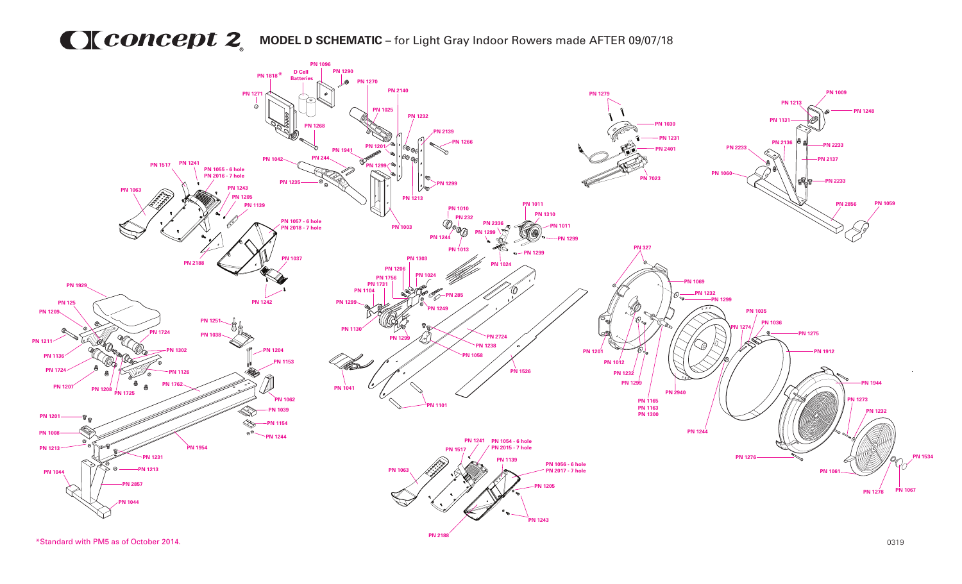## **MCONCEDU 2** MODEL D SCHEMATIC – for Light Gray Indoor Rowers made AFTER 09/07/18



\*Standard with PM5 as of October 2014. 0319